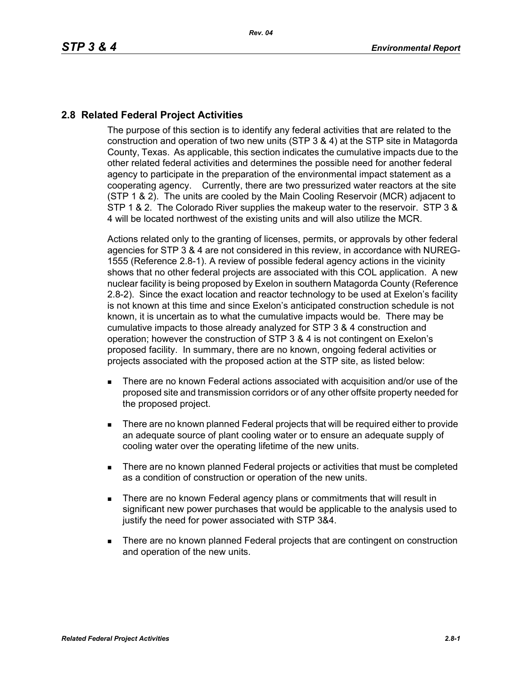## **2.8 Related Federal Project Activities**

The purpose of this section is to identify any federal activities that are related to the construction and operation of two new units (STP 3 & 4) at the STP site in Matagorda County, Texas. As applicable, this section indicates the cumulative impacts due to the other related federal activities and determines the possible need for another federal agency to participate in the preparation of the environmental impact statement as a cooperating agency. Currently, there are two pressurized water reactors at the site (STP 1 & 2). The units are cooled by the Main Cooling Reservoir (MCR) adjacent to STP 1 & 2. The Colorado River supplies the makeup water to the reservoir. STP 3 & 4 will be located northwest of the existing units and will also utilize the MCR.

Actions related only to the granting of licenses, permits, or approvals by other federal agencies for STP 3 & 4 are not considered in this review, in accordance with NUREG-1555 (Reference 2.8-1). A review of possible federal agency actions in the vicinity shows that no other federal projects are associated with this COL application. A new nuclear facility is being proposed by Exelon in southern Matagorda County (Reference 2.8-2). Since the exact location and reactor technology to be used at Exelon's facility is not known at this time and since Exelon's anticipated construction schedule is not known, it is uncertain as to what the cumulative impacts would be. There may be cumulative impacts to those already analyzed for STP 3 & 4 construction and operation; however the construction of STP 3 & 4 is not contingent on Exelon's proposed facility. In summary, there are no known, ongoing federal activities or projects associated with the proposed action at the STP site, as listed below:

- There are no known Federal actions associated with acquisition and/or use of the proposed site and transmission corridors or of any other offsite property needed for the proposed project.
- There are no known planned Federal projects that will be required either to provide an adequate source of plant cooling water or to ensure an adequate supply of cooling water over the operating lifetime of the new units.
- There are no known planned Federal projects or activities that must be completed as a condition of construction or operation of the new units.
- **There are no known Federal agency plans or commitments that will result in** significant new power purchases that would be applicable to the analysis used to justify the need for power associated with STP 3&4.
- **There are no known planned Federal projects that are contingent on construction** and operation of the new units.